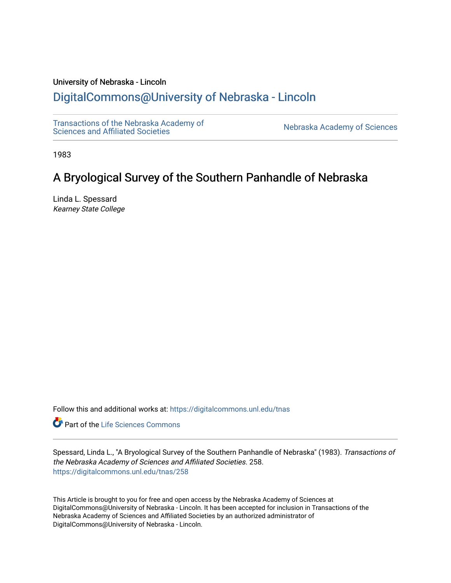# University of Nebraska - Lincoln

# [DigitalCommons@University of Nebraska - Lincoln](https://digitalcommons.unl.edu/)

[Transactions of the Nebraska Academy of](https://digitalcommons.unl.edu/tnas)  Transactions of the Nebraska Academy of Sciences<br>Sciences and Affiliated Societies

1983

# A Bryological Survey of the Southern Panhandle of Nebraska

Linda L. Spessard Kearney State College

Follow this and additional works at: [https://digitalcommons.unl.edu/tnas](https://digitalcommons.unl.edu/tnas?utm_source=digitalcommons.unl.edu%2Ftnas%2F258&utm_medium=PDF&utm_campaign=PDFCoverPages) 

**Part of the Life Sciences Commons** 

Spessard, Linda L., "A Bryological Survey of the Southern Panhandle of Nebraska" (1983). Transactions of the Nebraska Academy of Sciences and Affiliated Societies. 258. [https://digitalcommons.unl.edu/tnas/258](https://digitalcommons.unl.edu/tnas/258?utm_source=digitalcommons.unl.edu%2Ftnas%2F258&utm_medium=PDF&utm_campaign=PDFCoverPages) 

This Article is brought to you for free and open access by the Nebraska Academy of Sciences at DigitalCommons@University of Nebraska - Lincoln. It has been accepted for inclusion in Transactions of the Nebraska Academy of Sciences and Affiliated Societies by an authorized administrator of DigitalCommons@University of Nebraska - Lincoln.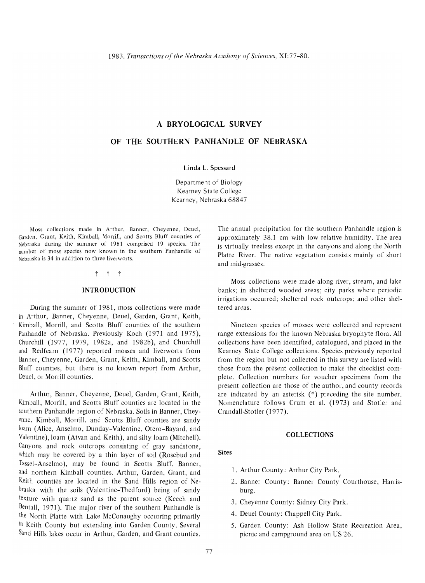# **A BRYOLOGICAL SURVEY**

# **OF THE SOUTHERN PANHANDLE OF NEBRASKA**

Linda L. Spessard

Department of Biology Kearney State College Kearney, Nebraska 68847

Moss collections made in Arthur, Banner, Cheyenne, Deuel, Garden, Grant, Keith, Kimball, Morrill, and Scotts Bluff counties of Nebraska during the summer of 1981 comprised 19 species. The number of moss species now known in the southern Panhandle of Nebraska is 34 in addition to three liverworts.

### t t t

#### **INTRODUCTION**

During the summer of 1981, moss collections were made in Arthur, Banner, Cheyenne, Deuel, Garden, Grant, Keith, Kimball, Morrill, and Scotts Bluff counties of the southern Panhandle of Nebraska. Previously Koch (1971 and 1975), Churchill (1977, 1979, 1982a, and 1982b), and Churchill and Redfearn (1977) reported mosses and liverworts from Banner, Cheyenne, Garden, Grant, Keith, Kimball, and Scotts Bluff counties, but there is no known report from Arthur, Deuel, or Morrill counties.

Arthur, Banner, Cheyenne, Deuel, Garden, Grant, Keith, Kimball, Morrill, and Scotts Bluff counties are located in the southern Panhandle region of Nebraska. Soils in Banner, Cheyenne, Kimball, Morrill, and Scotts Bluff counties are sandy loam (Alice, Anselmo, Dunday-Valentine, Otero-Bayard, and Valentine), loam (Atvan and Keith), and silty loam (Mitchell). Canyons and rock outcrops consisting of gray sandstone, Which may be covered by a thin layer of soil (Rosebud and Tassel-Anselmo), may be found in Scotts Bluff, Banner, and northern Kimball counties. Arthur, Garden, Grant, and Keith counties are located in the Sand Hills region of Nebraska with the soils (Valentine-Thedford) being of sandy texture with quartz sand as the parent source (Keech and Bentall, 1971). The major river of the southern Panhandle is the North Platte with Lake McConaughy occurring primarily in Keith County but extending into Garden County. Several Sand Hills lakes occur in Arthur, Garden, and Grant counties.

The annual precipitation for the southern Panhandle region is approximately 38.l cm with low relative humidity. The area is virtually treeless except in the canyons and along the North Platte River. The native vegetation consists mainly of short and mid-grasses.

Moss collections were made along river, stream, and lake banks; in sheltered wooded areas; city parks where periodic irrigations occurred: sheltered rock outcrops; and other sheltered areas.

Nineteen species of mosses were collected and represent range extensions for the known Nebraska bryophyte flora. All collections have been identified, catalogued, and placed in the Kearney State College collections. Species previously reported from the region but not collected in this survey are listed with those from the present collection to make the checklist complete. Collection numhers for voucher specimens from the present collection are those of the author, and county records are indicated by an asterisk (\*) preceding the site numher. Nomenelature follows Crum et ai. (1973) and Stotler and Crandall-Stotler (1977).

#### **COLLECTIONS**

# **Sites**

- 1. Arthur County: Arthur City Park. ,
- 2. Banner County: Banner County Courthouse, Harrishurg.
- 3. Cheyenne County: Sidney City Park.
- 4. Deuel County: Chappell City Park.
- 5. Garden County: Ash Hollow State Recreation Area, picnic and campground area on US 26.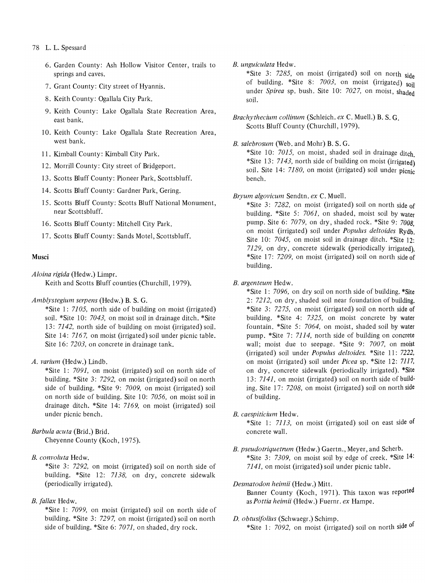# 78 L. L. Spessard

- 6. Garden County: Ash Hollow Visitor Center, trails to springs and caves.
- 7. Grant County: City street of Hyannis.
- 8. Keith County: Ogallala City Park.
- 9. Keith County: Lake Ogallala State Recreation Area, east bank.
- 10. Keith County: Lake Ogallala State Recreation Area, west bank.
- 11. Kimball County: Kimball City Park.
- 12. Morrill County: City street of Bridgeport.
- 13. Scotts Bluff County: Pioneer Park, Scottsbluff.
- 14. Scotts Bluff County: Gardner Park, Gering.
- 15. Scotts Bluff County: Scotts Bluff National Monument, near Scottsbluff.
- 16. Scotts Bluff County: Mitchell City Park.
- 17. Scotts Bluff County: Sands Motel, Scottsbluff.

# Musci

*Aloina rigida* (Hedw.) Limpr.

Keith and Scotts Bluff counties (Churchill, 1979).

## *Amblystegium serpens* (Hedw.) B. S. G.

\*Site1: *7105,* north side of building on moist (irrigated) soil. \*Site 10: *7043,* on moist soil in drainage ditch. \*Site 13: 7142, north side of building on moist (irrigated) soil. Site 14: 7167, on moist (irrigated) soil under picnic table. Site 16: *7203*, on concrete in drainage tank.

## *A. varium* (Hedw.) Lindb.

\*Site1: *7091,* on moist (irrigated) soil on north side of building. \*Site 3: 7292, on moist (irrigated) soil on north side of building. \*Site 9: *7009,* on moist (irrigated) soil on north side of building. Site 10: *7056,* on moist soil in drainage ditch. \*Site 14: 7169, on moist (irrigated) soil under picnic bench.

# *Barbula acuta* (Brid.) Brid.

Cheyenne County (Koch, 1975).

# *B. convoluta* Hedw.

\*Site 3: 7292, on moist (irrigated) soil on north side of building. \*Site 12: 7138, on dry, concrete sidewalk (periodically irrigated).

# *B. faliax* Hedw.

\*Site1: *7099,* on moist (irrigated) soil on north side of building. \*Site 3: 7297, on moist (irrigated) soil on north side of building. \*Site 6: *7071,* on shaded, dry rock.

*B. unguiculata* Hedw.

\*Site 3: 7285, on moist (irrigated) soil on north side of building. \*Site 8: 7003, on moist (irrigated) soil under *Spirea* sp. bush. Site 10: *7027,* on moist, shaded soil.

*Brachythecium collinum* (Schleich. *ex* C. Muell.) B. S. G. Scotts Bluff County (Churchill, 1979).

### *B. salebrosum* (Web. and Mohr) B. S. G.

\*Site 10: *7015,* on moist, shaded soil in drainage ditch \*Site 13: 7143, north side of building on moist (irrigated) soil. Site 14: 7180, on moist (irrigated) soil under picnic bench.

## *Bryum algovicum* Sendtn. *ex* C. Muell.

\*Site 3: 7282, on moist (irrigated) soil on north side of building. \*Site 5: *7061,* on shaded, moist soil by water pump. Site 6: *7079,* on dry, shaded rock. \*Site 9: *7008,*  on moist (irrigated) soil under *Populus deltoides* Rydb. Site 10: *7045*, on moist soil in drainage ditch. \*Site 12: 7129, on dry, concrete sidewalk (periodically irrigated). \*Site 17: *7209,* on moist (irrigated) soil on north side of building.

## *B. argenteum* Hedw.

\* Site 1: *7096,* on dry soil on north side of building. \*Site 2: 7212, on dry, shaded soil near foundation of building. \*Site 3: 7275, on moist (irrigated) soil on north side of building. \*Site 4: 7325, on moist concrete by water fountain. \*Site 5: *7064,* on moist, shaded soil by water pump. \*Site 7: 7114, north side of building on concrete wall; moist due to seepage. \*Site 9: *7007,* on moist (irrigated) soil under *Populus deltoides.* \*Site 11: 7222, on moist (irrigated) soil under *Picea* sp. \*Site 12: 7117, on dry, concrete sidewalk (periodically irrigated). \*Site 13: 7141, on moist (irrigated) soil on north side of build~ ing. Site 17: *7208,* on moist (irrigated) soil on north side of building.

#### *B. caespiticium* Hedw.

\*Site 1: 7113, on moist (irrigated) soil on east side of concrete wall.

*B. pseudo triquetrum* (Hedw.) Gaertn., Meyer, and Scherb. \*Site 3: *7309,* on moist soil by edge of creek. \*Site 14: 7141, on moist (irrigated) soil under picnic table.

## *Desmatodon heimii* (Hedw.) Mitt.

Banner County (Koch, 1971). This taxon was reported as *Pottia heimii* (Hedw.) Fuernr. *ex* Hampe.

### *D. obtusifolius* (Schwaegr.) Schimp.

\*Site1: *7092,* on moist (irrigated) soil on north side of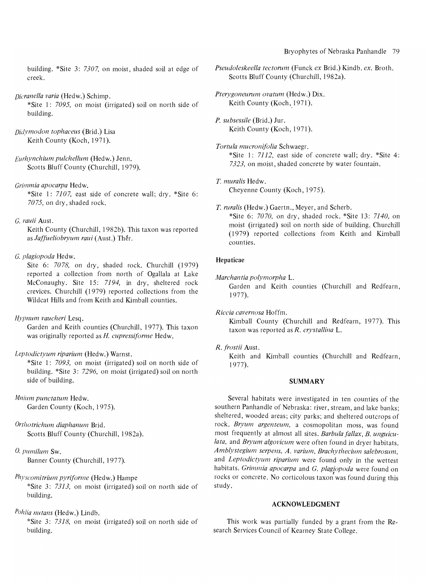## Bryophytes of Nebraska Panhandle 79

building. \*Site 3: *7307,* on moist, shaded soil at edge of creek.

# *Dicranella varia* (Hedw.) Schimp.

\*Site 1: 7095, on moist (irrigated) soil on north side of building.

*Didymodon tophaceus* (Brid.) Lisa Keith County (Koch, 1971).

*Eurhynchium pulchellum* (Hedw.) Jenn. Scotts Bluff County (Churchill, 1979).

*Grimmia apocarpa* Hedw.

\*Site 1: 7107, east side of concrete wall; dry. \*Site 6: *7075,* on dry, shaded rock.

#### G. *rauii* Aust.

Keith County (Churchill, 1982b). This taxon was reported as *Jaffueliobryum raui* (Aust.) Thér.

## G. *plagiopoda* Hedw.

Site 6: *7078,* on dry, shaded rock. Churchill (1979) reported a collection from north of Ogallala at Lake McConaughy. Site 15: 7194, in dry, sheltered rock crevices. Churchill (1979) reported collections from the Wildcat Hills and from Keith and Kimball counties.

# *Hypnum vaucheri* Lesq.

Garden and Keith counties (Churchill, 1977). This taxon was originally reported as H. *cupressiforme* Hedw.

## *Leptodictyum riparium* (Hedw.) Warnst.

\*Site 1: 7093, on moist (irrigated) soil on north side of building. \*Site 3: 7296, on moist (irrigated) soil on north side of building.

## *Mnium punctatum* Hedw. Garden County (Koch, 1975).

*OrtllOtrichum diaphanum* Brid. Scotts Bluff County (Churchill, 1982a).

# O. *pumilum* Sw.

Banner County (Churchill, 1977).

# *Physcomitrium pyriforme* (Hedw.) Hampe

\*Site 3: 7313, on moist (irrigated) soil on north side of building.

# *Pohlia nutans* (Hedw.) Lindb.

\*Site 3: 7318, on moist (irrigated) soil on north side of building.

*Pseudoleskeella tectorum* (Funck *ex* Brid.) Kindb. *ex.* Broth. Scotts Bluff County (Churchill, 1982a).

*Pterygoneurum ovatum* (Hedw.) Dix. Keith County (Koch, 1971).

*P. subsessile* (Brid.) Jur. Keith County (Koch, 1971).

*Tortula mucronifolia* Schwaegr. \*Site 1: 7112, east side of concrete wall; dry. \*Site 4: 7323, on moist, shaded concrete by water fountain.

T. *muralis* Hedw. Cheyenne County (Koch, 1975).

T. *ruralis* (Hedw.) Gaertn., Meyer, and Scherb. \*Site 6: *7070,* on dry, shaded rock. \*Site 13: *7140,* on moist (irrigated) soil on north side of building. Churchill (1979) reported collections from Keith and Kimball counties.

## Hepaticae

*Marchantia polymorpha* L.

Garden and Keith counties (Churchill and Redfearn, 1977).

*Riccia cavernosa* Hoffm.

Kimball County (Churchill and Redfearn, 1977). This taxon was reported as *R. crystallina* L.

## *R. frostii* Aust.

Keith and Kimball counties (Churchill and Redfearn, 1977).

### SUMMARY

Several habitats were investigated in ten counties of the southern Panhandle of Nebraska: river, stream, and lake banks; sheltered, wooded areas; city parks; and sheltered outcrops of rock. Bryum argenteum, a cosmopolitan moss, was found most frequently at almost all sites. *Barbula fallax, B. unguiculata,* and *Bryum algovicum* were often found in dryer habitats. *Amblystegium serpens, A. varium, Brachythecium salebrosum,* and *Leptodictyum riparium* were found only in the wettest habitats. *Grimmia apocarpa* and *G. plagiopoda* were found on rocks or concrete. No corticolous taxon was found during this study.

### ACKNOWLEDGMENT

This work was partially funded by a grant from the Research Services Council of Kearney State College.